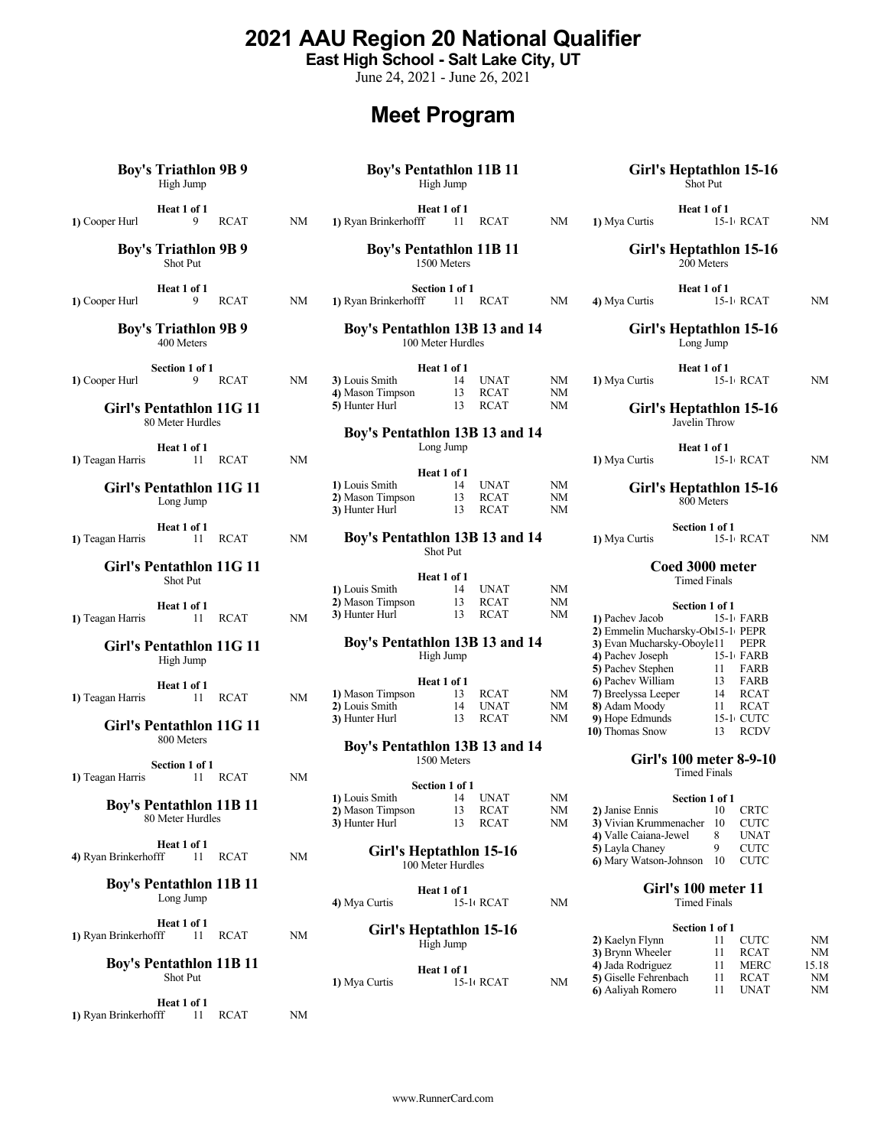www.RunnerCard.com

## 2021 AAU Region 20 National Qualifier

East High School - Salt Lake City, UT

June 24, 2021 - June 26, 2021

# Meet Program

# Boy's Triathlon 9B 9 Shot Put Heat 1 of 1<br>9 RCAT NM 400 Meters Section 1 of 1<br>9 RCAT NM Girl's Pentathlon 11G 11 80 Meter Hurdles Heat 1 of 1<br>11 RCAT NM 1) Teagan Harris 11 RCAT NM Girl's Pentathlon 11G 11 Long Jump Heat 1 of 1<br>11 RCAT NM 1) Teagan Harris 11 RCAT NM **Boy's Pentathlon 13B 13 and 14** 1) Mya Curtis 15-1 RCAT Girl's Pentathlon 11G 11 Shot Put Heat  $1 \text{ of } 1$ <br>11 RCAT NM 1) Teagan Harris Girl's Pentathlon 11G 11 High Jump Heat  $1 \text{ of } 1$ <br>11 RCAT 1) Teagan Harris 11 RCAT NM Girl's Pentathlon 11G 11 800 Meters Section 1 of 1<br>11 RCAT NM 1) Teagan Harris Boy's Pentathlon 11B 11 80 Meter Hurdles Heat 1 of 1<br>fff 11 RCAT NM 4) Ryan Brinkerhofff **Boy's Pentathlon 11B 11**<br>Long Jump  $\begin{array}{c} \text{A) Mva Curris} \\ \text{B) Mva Curris} \end{array}$ Heat 1 of 1 1) Ryan Brinkerhofff 11 RCAT NM **Girl's Heptathlon 15-16** Section 1 of 1<br>2) Kaelyn Flynn 11 C Boy's Pentathlon 11B 11 Shot Put

Boy's Triathlon 9B 9 High Jump

Heat 1 of 1<br>fff 11 RCAT NM 1) Ryan Brinkerhofff

Boy's Pentathlon 11B 11 High Jump

Heat 1 of 1<br>
9 RCAT MM 1) Ryan Brinkerhofff 11 RCAT 1) Cooper Hurl 9 RCAT NM 1) Ryan Brinkerhofff 11 RCAT NM 1) Mya Curtis 15-1 RCAT NM **Heat 1 of 1**<br>fff 11 RCAT NM 1) Mya Curtis

> Boy's Pentathlon 11B 11 1500 Meters

1) Cooper Hurl 9 RCAT NM 1) Ryan Brinkerhofff 11 RCAT NM Section 1 of 1<br>
offf 11 RCAT NM 4) Mya Curtis

Boy's Triathlon 9B 9 Boy's Pentathlon 13B 13 and 14 100 Meter Hurdles

| Section 1 of 1           |  |             |    |                  | Heat 1 of 1 |      |           | Heat 1 of 1             |           |    |  |
|--------------------------|--|-------------|----|------------------|-------------|------|-----------|-------------------------|-----------|----|--|
| 1) Cooper Hurl           |  | <b>RCAT</b> | NΜ | 3) Louis Smith   |             | UNAT | NM        | 1) Mya Curtis           | 15-1 RCAT | NM |  |
|                          |  |             |    | 4) Mason Timpson |             | RCAT | <b>NM</b> |                         |           |    |  |
| Girl's Pentathlon 11G 11 |  |             |    | 5) Hunter Hurl   |             | RCAT | NM        | Girl's Heptathlon 15-16 |           |    |  |

### Boy's Pentathlon 13B 13 and 14 Long Jump

|                  | Heat 1 of 1 |             |    |                         |  |
|------------------|-------------|-------------|----|-------------------------|--|
| 1) Louis Smith   |             | UNAT        | NM | Girl's Heptathlon 15-16 |  |
| 2) Mason Timpson |             | <b>RCAT</b> | NΜ | 800 Meters              |  |
| 3) Hunter Hurl   |             | <b>RCAT</b> | NΜ |                         |  |

# Shot Put

|                  | Heat 1 of 1 |             |    | <b>CUCU JUUU MICICI</b><br>Timed Finals |  |  |  |  |  |
|------------------|-------------|-------------|----|-----------------------------------------|--|--|--|--|--|
| 1) Louis Smith   |             | <b>UNAT</b> | NΜ |                                         |  |  |  |  |  |
| 2) Mason Timpson |             | <b>RCAT</b> | NΜ | Section 1 of 1                          |  |  |  |  |  |
| 3) Hunter Hurl   |             | RCAT        | NΜ | 1) Pachev Jacob<br>15.1 FARR            |  |  |  |  |  |

### Boy's Pentathlon 13B 13 and 14 High Jump

|                  | Heat 1 of 1 |             |    | 6 Pachev William    | <b>FARB</b> |  |
|------------------|-------------|-------------|----|---------------------|-------------|--|
| 1) Mason Timpson |             | RCAT        | NΜ | 7) Breelyssa Leeper | 14 RCAT     |  |
| 2) Louis Smith   |             | UNAT        | NM | 8) Adam Moodv       | RCAT        |  |
| 3) Hunter Hurl   |             | <b>RCAT</b> | NΜ | 9) Hope Edmunds     | 15-1 CUTC   |  |

### Boy's Pentathlon 13B 13 and 14 1500 Meters

|                         | Section 1 of 1 |      |                 |                                |      |        |
|-------------------------|----------------|------|-----------------|--------------------------------|------|--------|
| 1) Louis Smith          | 14             | UNAT | NΜ              | Section 1 of 1                 |      |        |
| 2) Mason Timpson        | 13             | RCAT | NΜ              | 2) Janise Ennis                | 10   | CRTC   |
| <b>3)</b> Hunter Hurl   | 13             | RCAT | NM              | 3) Vivian Krummenacher 10      |      | CUTC – |
|                         |                |      |                 | 4) Valle Caiana-Jewel          | 8    | UNAT   |
| Girl's Heptathlon 15-16 |                |      | 5) Layla Chaney |                                | CUTC |        |
| 100 Meter Hurdles       |                |      |                 | 6) Mary Watson-Johnson 10 CUTC |      |        |

4) Mya Curtis 4) Mya Curtis 15-1 RCAT NM Timed Finals

|            | Heat 1 of 1 |    | 4) Jada Rodriguez                                  |  |  |  |
|------------|-------------|----|----------------------------------------------------|--|--|--|
| Mya Curtis | 15-1 RCAT   | NΜ | 5) Giselle Fehrenbach<br>$A - 1$ . The set $B - 1$ |  |  |  |

### Girl's Heptathlon 15-16 Shot Put

**Heat 1 of 1**<br>15-1+ RCAT NM 1) Mya Curtis 15-16 RCAT NM

### Girl's Heptathlon 15-16 200 Meters

4) Mya Curtis 15-16 RCAT NM

Girl's Heptathlon 15-16 Long Jump

1) Mya Curtis 15-1 RCAT NM

Javelin Throw

**Heat 1 of 1**<br>15-1 RCAT NM 1) Mya Curtis 15-1 RCAT NM

# 800 Meters

## Coed 3000 meter

|    | 15-1 FARB                                    |
|----|----------------------------------------------|
|    | 2) Emmelin Mucharsky-Ob15-1 PEPR             |
|    | PEPR                                         |
|    | $15-1$ FARB                                  |
| 11 | FARB                                         |
| 13 | FARB                                         |
| 14 | <b>RCAT</b>                                  |
|    | <b>RCAT</b>                                  |
|    | 15-1 CUTC                                    |
|    | <b>RCDV</b>                                  |
|    | Section 1 of 1<br>3) Evan Mucharsky-Oboyle11 |

## Girl's 100 meter 8-9-10

Timed Finals

| Section 1 of 1                 |    |             |
|--------------------------------|----|-------------|
| 2) Janise Ennis                | 10 | <b>CRTC</b> |
| 3) Vivian Krummenacher 10 CUTC |    |             |
| 4) Valle Caiana-Jewel 8 UNAT   |    |             |
| 5) Layla Chaney                |    | <b>CUTC</b> |
| 6) Mary Watson-Johnson 10 CUTC |    |             |

Heat 1 of 1 Girl's 100 meter 11 Timed Finals

|               | Girl's Heptathlon 15-16 |    | Section 1 of 1        |  |             |       |  |  |  |
|---------------|-------------------------|----|-----------------------|--|-------------|-------|--|--|--|
| High Jump     |                         |    | 2) Kaelyn Flynn       |  | CUTC        | NM    |  |  |  |
|               |                         |    | 3) Brynn Wheeler      |  | RCAT        | NM    |  |  |  |
| 1) Mya Curtis | Heat 1 of 1             |    | 4) Jada Rodriguez     |  | <b>MERC</b> | 15.18 |  |  |  |
|               | 15-1 RCAT               | NM | 5) Giselle Fehrenbach |  | <b>RCAT</b> | NM    |  |  |  |
|               |                         |    | 6) Aaliyah Romero     |  | UNAT        | NM    |  |  |  |
|               |                         |    |                       |  |             |       |  |  |  |

**Heat 1 of 1**<br>15-1+ RCAT MM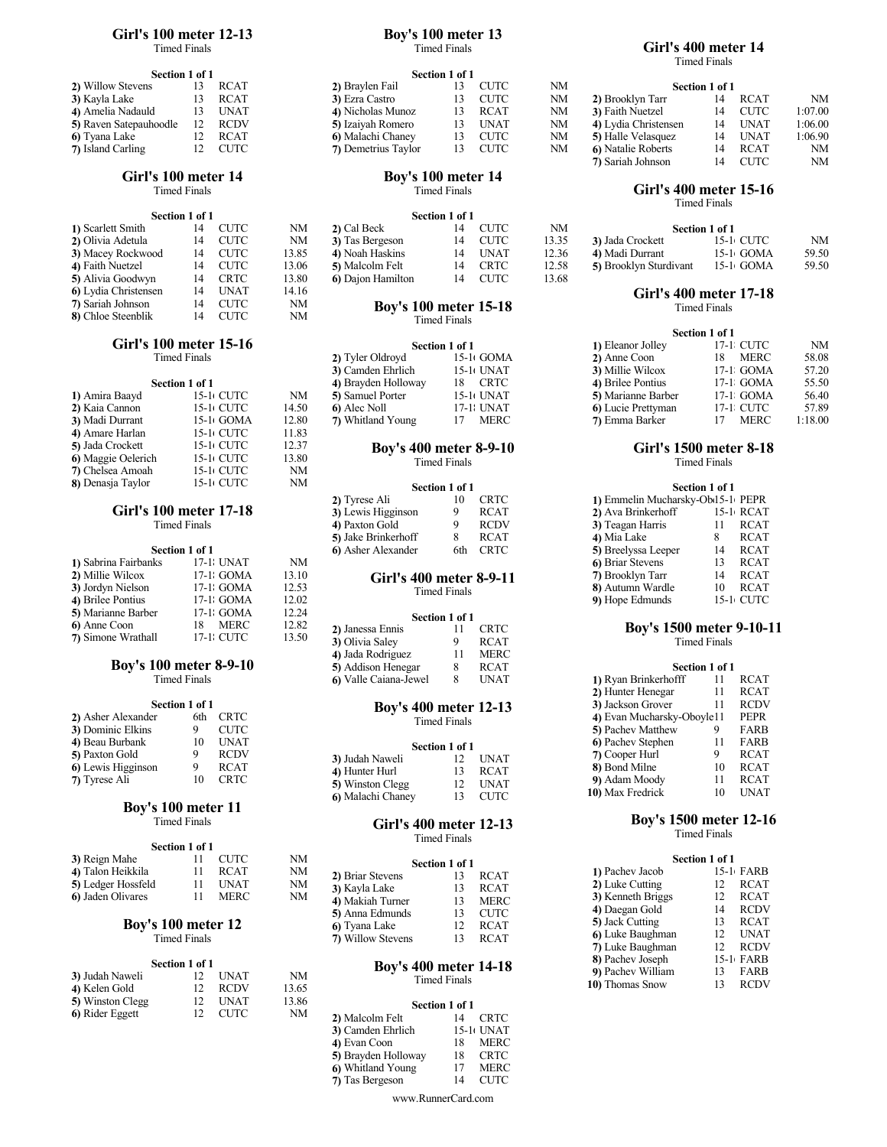#### Girl's 100 meter 12-13 Timed Finals

| Section 1 of 1         |    |             |
|------------------------|----|-------------|
| 2) Willow Stevens      | 13 | <b>RCAT</b> |
| 3) Kayla Lake          | 13 | <b>RCAT</b> |
| 4) Amelia Nadauld      | 13 | <b>UNAT</b> |
| 5) Raven Satepauhoodle | 12 | <b>RCDV</b> |
| 6) Tyana Lake          | 12 | <b>RCAT</b> |
| 7) Island Carling      | 12 | <b>CUTC</b> |

## Girl's 100 meter 14

Timed Finals

|                                          | Section 1 of 1 |      |       | Section 1 of 1               |    |              |       |                        |          |  |
|------------------------------------------|----------------|------|-------|------------------------------|----|--------------|-------|------------------------|----------|--|
| 1) Scarlett Smith                        | 14             | CUTC | NΜ    | 2) Cal Beck                  | 14 | <b>CUTC</b>  | NM    | Section 1 of 1         |          |  |
| 2) Olivia Adetula                        | 14             | CUTC | NΜ    | 3) Tas Bergeson              | 14 | CUTC         | 13.35 | 3) Jada Crockett       | $15-11$  |  |
| 3) Macey Rockwood                        | 14             | CUTC | 13.85 | 4) Noah Haskins              | 14 | UNAT         | 12.36 | 4) Madi Durrant        | $15 - 1$ |  |
| 4) Faith Nuetzel                         | 14             | CUTC | 13.06 | 5) Malcolm Felt              | 14 | CRTC         | 12.58 | 5) Brooklyn Sturdivant | $15 - 1$ |  |
| 5) Alivia Goodwyn                        | 14             | CRTC | 13.80 | 6) Dajon Hamilton            | 14 | CUTC         | 13.68 |                        |          |  |
| 6) Lydia Christensen                     | 14             | UNAT | 14.16 |                              |    |              |       | Girl's 400 meter       |          |  |
| 7) Sariah Johnson<br>CUTC<br>NΜ<br>14    |                |      |       | <b>Boy's 100 meter 15-18</b> |    | Timed Finals |       |                        |          |  |
| 8) Chloe Steenblik<br>NM<br>- CHTC<br>14 |                |      |       |                              |    |              |       |                        |          |  |

#### Girl's 100 meter 15-16 Timed Finals

| Section 1 of 1 |       | 4) Brayden Holloway | CRTC<br>18 | 4) Brilee Pontius                                                      | $17-1$ $\epsilon$   |
|----------------|-------|---------------------|------------|------------------------------------------------------------------------|---------------------|
| 15-10 CUTC     | NM    | 5) Samuel Porter    | 15-10 UNAT | 5) Marianne Barber                                                     | $17-1$ $\epsilon$   |
| 15-1+ CUTC     | 14.50 | 6) Alec Noll        | 17-1: UNAT | 6) Lucie Prettyman                                                     | $17-1$ $\epsilon$   |
| $15-1$ GOMA    | 12.80 | 7) Whitland Young   | MERC<br>17 | 7) Emma Barker                                                         | 17 N                |
| 15-1+ CUTC     | 11.83 |                     |            |                                                                        |                     |
| 15-10 CUTC     | 12.37 |                     |            |                                                                        |                     |
| 15-1+ CUTC     | 13.80 |                     |            |                                                                        | <b>Timed Finals</b> |
| 15-1 CUTC      | NM    |                     |            |                                                                        |                     |
| 15-10 CUTC     | NΜ    |                     |            |                                                                        | Section 1 of 1      |
|                |       |                     |            | <b>Boy's 400 meter 8-9-10</b><br><b>Timed Finals</b><br>Section 1 of 1 | Girl's 1500 meter   |

### Girl's 100 meter 17-18 Timed Finals

|                      | Section 1 of 1 |       | 6) Asher Alexander | 6th CRTC                | 5) Breelyssa Leeper        | 14 F           |
|----------------------|----------------|-------|--------------------|-------------------------|----------------------------|----------------|
| 1) Sabrina Fairbanks | 17-1: UNAT     | NM    |                    |                         | 6) Briar Stevens           | 13 F           |
| 2) Millie Wilcox     | $17-1$ GOMA    | 13.10 |                    | Girl's 400 meter 8-9-11 | 7) Brooklyn Tarr           | 14 F           |
| 3) Jordyn Nielson    | $17-1$ GOMA    | 12.53 |                    | <b>Timed Finals</b>     | 8) Autumn Wardle           | $10 \text{ F}$ |
| 4) Brilee Pontius    | 17-1 GOMA      | 12.02 |                    |                         | 9) Hope Edmunds            | $15-1$ C       |
| 5) Marianne Barber   | 17-1 GOMA      | 12.24 |                    | Section 1 of 1          |                            |                |
| 6) Anne Coon         | MERC<br>18     | 12.82 | 2) Janessa Ennis   | <b>CRTC</b>             | <b>Boy's 1500 meter 9.</b> |                |
| 7) Simone Wrathall   | 17-1 CUTC      | 13.50 | 3) Olivia Salev    | <b>RCAT</b>             |                            | Timed Finals   |

## Boy's 100 meter 8-9-10

Timed Finals

| 2) Asher Alexander    |    | 6th CRTC    | <b>Timed Finals</b>                              |
|-----------------------|----|-------------|--------------------------------------------------|
| 3) Dominic Elkins     |    | <b>CUTC</b> |                                                  |
| 4) Beau Burbank       |    | UNAT        | Section 1 of 1                                   |
| <b>5)</b> Paxton Gold |    | <b>RCDV</b> | 3) Judah Naweli<br><b>UNAT</b>                   |
| 6) Lewis Higginson    |    | <b>RCAT</b> | 4) Hunter Hurl<br>RCAT                           |
| 7) Tyrese Ali         | 10 | <b>CRTC</b> | $\mathbf{E}$ Winston Class<br>$12 \tIm \text{H}$ |

### Boy's 100 meter 11 Timed Finals

|                    | Section 1 of 1 |    |                         | тинест піаіз   |                   |
|--------------------|----------------|----|-------------------------|----------------|-------------------|
| 3) Reign Mahe      | CUTC           | NΜ |                         | Section 1 of 1 | <b>Section 1</b>  |
| 4) Talon Heikkila  | <b>RCAT</b>    | NΜ | 2) Briar Stevens        | <b>RCAT</b>    | 1) Pachev Jacob   |
| 5) Ledger Hossfeld | UNAT           | NΜ | 3) Kavla Lake           | RCAT           | 2) Luke Cutting   |
| 6) Jaden Olivares  | <b>MERC</b>    | NΜ | <b>4)</b> Makiah Turner | <b>MERC</b>    | 3) Kenneth Briggs |

### Boy's 100 meter 12 Timed Finals

|                  | Section 1 of 1 |                      |       | <b>Boy's 400 meter 14-18</b> | 8) Pachev Joseph  |
|------------------|----------------|----------------------|-------|------------------------------|-------------------|
| 3) Judah Naweli  |                | <b>UNAT</b>          | NΜ    | Timed Finals                 | 9) Pachev William |
| 4) Kelen Gold    |                | 13.65<br><b>RCDV</b> |       | 10) Thomas Snow              |                   |
| 5) Winston Clegg |                | <b>UNAT</b>          | 13.86 | Section 1 of 1               |                   |
| 6) Rider Eggett  |                | CUTC                 | NΜ    | 2) Malcolm Felt              |                   |

### Boy's 100 meter 13 Timed Finals

| Section 1 of 1         |    |             | Section 1 of 1      |             |    |                      |                |             |         |  |
|------------------------|----|-------------|---------------------|-------------|----|----------------------|----------------|-------------|---------|--|
| 2) Willow Stevens      | 13 | <b>RCAT</b> | 2) Braylen Fail     | CUTC        | NM |                      | Section 1 of 1 |             |         |  |
| <b>3)</b> Kayla Lake   | 13 | <b>RCAT</b> | 3) Ezra Castro      | CUTC        | NM | 2) Brooklyn Tarr     | 14             | <b>RCAT</b> | NM      |  |
| 4) Amelia Nadauld      | 13 | <b>UNAT</b> | 4) Nicholas Munoz   | RCAT        | NM | 3) Faith Nuetzel     | 14             | CUTC        | 1:07.00 |  |
| 5) Raven Satepauhoodle | 12 | <b>RCDV</b> | 5) Izaiyah Romero   | <b>UNAT</b> | NM | 4) Lydia Christensen | 14             | UNAT        | 1:06.00 |  |
| 6) Tyana Lake          | 12 | <b>RCAT</b> | 6) Malachi Chaney   | <b>CUTC</b> | NM | 5) Halle Velasquez   | 14             | UNAT        | 1:06.90 |  |
| 7) Island Carling      |    | CUTC        | 7) Demetrius Taylor | <b>CUTC</b> | NM | 6) Natalie Roberts   | 14             | <b>RCAT</b> | NM      |  |

### Boy's 100 meter 14 Timed Finals

| Section 1 of 1 |             |       |                   |    |             |                                |                        |             |                |  |
|----------------|-------------|-------|-------------------|----|-------------|--------------------------------|------------------------|-------------|----------------|--|
| 14             | CUTC        | NM    | 2) Cal Beck       |    |             | NΜ                             |                        |             |                |  |
| 14             |             | NΜ    | 3) Tas Bergeson   | 14 |             | 13.35                          | 3) Jada Crockett       | 15-1 CUTC   | NM             |  |
| 14             | CUTC        | 13.85 | 4) Noah Haskins   | 14 | UNAT        | 12.36                          | 4) Madi Durrant        | $15-1$ GOMA | 59.50          |  |
| 14             | CUTC        | 13.06 | 5) Malcolm Felt   | 14 | <b>CRTC</b> | 12.58                          | 5) Brooklyn Sturdivant | $15-1$ GOMA | 59.50          |  |
| 14             | <b>CRTC</b> | 13.80 | 6) Dajon Hamilton |    | CUTC        | 13.68                          |                        |             |                |  |
|                |             | CUTC  |                   |    |             | Section 1 of 1<br>CUTC<br>CUTC |                        |             | Section 1 of 1 |  |

#### $8)$  Chloe Steenblik 14 CUTC NM  $\frac{25}{3}$  and  $\frac{25}{3}$  and  $\frac{25}{3}$  and  $\frac{25}{3}$  and  $\frac{25}{3}$  and  $\frac{25}{3}$  and  $\frac{25}{3}$  and  $\frac{25}{3}$  and  $\frac{25}{3}$  and  $\frac{25}{3}$  and  $\frac{25}{3}$  and  $\frac{25}{3}$  and  $\frac{25}{3}$ Timed Finals

| Section 1 of 1      |            |
|---------------------|------------|
| 2) Tyler Oldroyd    | 15-1 GOMA  |
| 3) Camden Ehrlich   | 15-10 UNAT |
| 4) Brayden Holloway | 18 CRTC    |
| 5) Samuel Porter    | 15-10 UNAT |
| 6) Alec Noll        | 17-1: UNAT |
| 7) Whitland Young   | 17 MERC    |

#### Section 1 of 1

| 2) Tyrese Ali       | <b>CRTC</b> | 1) Emmelin Mucharsky-Ob15-1 PEPR |    |             |
|---------------------|-------------|----------------------------------|----|-------------|
| 3) Lewis Higginson  | <b>RCAT</b> | 2) Ava Brinkerhoff               |    | 15-1 RCAT   |
| 4) Paxton Gold      | <b>RCDV</b> | 3) Teagan Harris                 |    | RCAT        |
| 5) Jake Brinkerhoff | <b>RCAT</b> | 4) Mia Lake                      |    | <b>RCAT</b> |
| 6) Asher Alexander  | 6th CRTC    | 5) Breelyssa Leeper              | 14 | RCAT        |

|                       | . |             |                                     |
|-----------------------|---|-------------|-------------------------------------|
| 2) Janessa Ennis      |   | CRTC        | <b>Boy's 1500 meter 9-10-11</b>     |
| 3) Olivia Saley       |   | <b>RCAT</b> | Timed Finals                        |
| 4) Jada Rodriguez     |   | <b>MERC</b> |                                     |
| 5) Addison Henegar    |   | <b>RCAT</b> | Section 1 of 1                      |
| 6) Valle Caiana-Jewel |   | UNAT        | 1) Ryan Brinkerhofff<br><b>RCAT</b> |

# Timed Finals

| 4) Beau Burbank    | UNAT        |                   | Section 1 of 1 |             | 6 Pachev Stephen |    | FARB        |  |
|--------------------|-------------|-------------------|----------------|-------------|------------------|----|-------------|--|
| 5) Paxton Gold     | <b>RCDV</b> | 3) Judah Naweli   |                | <b>UNAT</b> | 7) Cooper Hurl   |    | <b>RCAT</b> |  |
| 6) Lewis Higginson | <b>RCAT</b> | 4) Hunter Hurl    |                | <b>RCAT</b> | 8) Bond Milne    | 10 | <b>RCAT</b> |  |
| 7) Tyrese Ali      | CRTC        | 5) Winston Clegg  |                | <b>UNAT</b> | 9) Adam Moody    |    | <b>RCAT</b> |  |
|                    |             | 6) Malachi Chanev |                | <b>CUTC</b> | 10) Max Fredrick | 10 | <b>UNAT</b> |  |

### Girl's 400 meter 12-13 Timed Finals

|                   | Section 1 of 1 |             |                   | Section 1 of 1 |             |  |  |  |
|-------------------|----------------|-------------|-------------------|----------------|-------------|--|--|--|
| 2) Briar Stevens  |                | RCAT        | 1) Pachev Jacob   |                | 15-1 FARB   |  |  |  |
| 3) Kayla Lake     |                | RCAT        | 2) Luke Cutting   |                | RCAT        |  |  |  |
| 4) Makiah Turner  |                | MERC        | 3) Kenneth Briggs |                | RCAT        |  |  |  |
| 5) Anna Edmunds   |                | <b>CUTC</b> | 4) Daegan Gold    | 14             | <b>RCDV</b> |  |  |  |
| 6) Tyana Lake     |                | RCAT        | 5) Jack Cutting   |                | RCAT        |  |  |  |
| 7) Willow Stevens |                | <b>RCAT</b> | 6) Luke Baughman  |                | UNAT        |  |  |  |
|                   |                |             |                   |                |             |  |  |  |

# Timed Finals

| 14 | CRTC        |
|----|-------------|
|    | 15-1 UNAT   |
| 18 | MERC        |
| 18 | CRTC        |
|    | MERC        |
|    | <b>CUTC</b> |
|    |             |

www.RunnerCard.com

### Girl's 400 meter 14

Timed Finals

|                     | DUUUH 1 VI 1 |             |    |                      |                |             |         |  |
|---------------------|--------------|-------------|----|----------------------|----------------|-------------|---------|--|
| 2) Braylen Fail     | 13           | <b>CUTC</b> | NM |                      | Section 1 of 1 |             |         |  |
| 3) Ezra Castro      | 13           | <b>CUTC</b> | NΜ | 2) Brooklyn Tarr     | 14             | RCAT        | NM      |  |
| 4) Nicholas Munoz   | 13           | <b>RCAT</b> | NM | 3) Faith Nuetzel     | 14             | <b>CUTC</b> | 1:07.00 |  |
| 5) Izaiyah Romero   | 13           | <b>UNAT</b> | NM | 4) Lydia Christensen | 14             | UNAT        | 1:06.00 |  |
| 6) Malachi Chaney   | 13           | <b>CUTC</b> | NM | 5) Halle Velasquez   | 14             | UNAT        | 1:06.90 |  |
| 7) Demetrius Taylor | 13           | <b>CUTC</b> | NΜ | 6) Natalie Roberts   | 14             | RCAT        | NM      |  |
|                     |              |             |    | 7) Sariah Johnson    |                | <b>CUTC</b> | NM      |  |
|                     |              |             |    |                      |                |             |         |  |

## Girl's 400 meter 15-16

# Timed Finals

| Section 1 of 1         |              |       |
|------------------------|--------------|-------|
| 3) Jada Crockett       | 15-1+ CUTC - | NΜ    |
| 4) Madi Durrant        | 15-1 GOMA    | 59.50 |
| 5) Brooklyn Sturdivant | 15-1 GOMA    | 59.50 |

## Girl's 400 meter 17-18

| Section 1 of 1    | 1) Eleanor Jolley  | 17-1 CUTC   | NM             |  |
|-------------------|--------------------|-------------|----------------|--|
| $15-1$ GOMA       | 2) Anne Coon       | MERC<br>18. | 58.08          |  |
| 15-1 UNAT         | 3) Millie Wilcox   | 17-1 GOMA   | 57.20          |  |
| <b>CRTC</b><br>18 | 4) Brilee Pontius  | 17-1 GOMA   | 55.50          |  |
| 15-1 UNAT         | 5) Marianne Barber | 17-1 GOMA   | 56.40          |  |
| 17-1: UNAT        | 6 Lucie Prettyman  | 17-1 CUTC   | 57.89          |  |
| <b>MERC</b>       | 7) Emma Barker     | <b>MERC</b> | 1:18.00        |  |
|                   |                    |             | Section 1 of 1 |  |

## Girl's 1500 meter 8-18

## Section 1 of 1

| 1) Emmelin Mucharsky-Ob15-1 PEPR |    |             |
|----------------------------------|----|-------------|
| 2) Ava Brinkerhoff               |    | 15-1 RCAT   |
| 3) Teagan Harris<br>11           |    | <b>RCAT</b> |
| 4) Mia Lake                      |    | <b>RCAT</b> |
| 5) Breelyssa Leeper              | 14 | <b>RCAT</b> |
| 6) Briar Stevens                 | 13 | <b>RCAT</b> |
| 7) Brooklyn Tarr                 | 14 | <b>RCAT</b> |
| 8) Autumn Wardle                 | 10 | <b>RCAT</b> |
| 9) Hope Edmunds                  |    | 15-1 CUTC   |

|   |                | 100 meter 8-9-10 | 5) Addison Henegar           |                | <b>RCAT</b>           | Section 1 of 1             |    |             |
|---|----------------|------------------|------------------------------|----------------|-----------------------|----------------------------|----|-------------|
|   | Timed Finals   |                  | 6) Valle Caiana-Jewel        |                | <b>UNAT</b>           | 1) Ryan Brinkerhofff       |    | <b>RCAT</b> |
|   |                |                  |                              |                |                       | 2) Hunter Henegar          | 11 | <b>RCAT</b> |
|   | Section 1 of 1 |                  | <b>Boy's 400 meter 12-13</b> |                |                       | 3) Jackson Grover          |    | <b>RCDV</b> |
|   |                | 6th CRTC         |                              | Timed Finals   |                       | 4) Evan Mucharsky-Oboyle11 |    | PEPR        |
|   |                | <b>CUTC</b>      |                              |                |                       | 5) Pachev Matthew          |    | FARB        |
|   | 10             | <b>UNAT</b>      |                              | Section 1 of 1 |                       | 6) Pachev Stephen          | 11 | FARB        |
|   |                | <b>RCDV</b>      | 3) Judah Naweli              | 12             | UNAT                  | 7) Cooper Hurl             |    | <b>RCAT</b> |
| n |                | <b>RCAT</b>      | 4) Hunter Hurl               | 13.            | <b>RCAT</b>           | 8) Bond Milne              | 10 | <b>RCAT</b> |
|   | 10             | <b>CRTC</b>      | 5) Winston Clegg             |                | <b>UNAT</b>           | 9) Adam Moody              |    | <b>RCAT</b> |
|   |                |                  | 0.34.1.1.701                 |                | $12 \quad \text{CUT}$ | 10) Max Fredrick           | 10 | <b>UNAT</b> |

### Boy's 1500 meter 12-16 Timed Finals

| <b>CUTC</b>                                              | NΜ             | Section 1 of 1                                                                                                                                                | Section 1 of 1                                                                                                                                          |
|----------------------------------------------------------|----------------|---------------------------------------------------------------------------------------------------------------------------------------------------------------|---------------------------------------------------------------------------------------------------------------------------------------------------------|
| <b>RCAT</b><br>UNAT<br><b>MERC</b>                       | NΜ<br>NΜ<br>NM | <b>RCAT</b><br>2) Briar Stevens<br>13<br><b>RCAT</b><br>3) Kayla Lake<br>13<br><b>MERC</b><br>4) Makiah Turner<br>13.<br><b>CUTC</b><br>5) Anna Edmunds<br>13 | $15-1$ FARB<br>1) Pachev Jacob<br><b>RCAT</b><br>2) Luke Cutting<br>12<br><b>RCAT</b><br>3) Kenneth Briggs<br>12<br><b>RCDV</b><br>4) Daegan Gold<br>14 |
| s 100 meter 12<br>Timed Finals                           |                | <b>RCAT</b><br>6) Tyana Lake<br>12<br><b>RCAT</b><br><b>7)</b> Willow Stevens<br>13                                                                           | <b>RCAT</b><br>5) Jack Cutting<br>13<br>UNAT<br>6) Luke Baughman<br>12<br>RCDV<br>7) Luke Baughman<br>12                                                |
| Section 1 of 1<br><b>UNAT</b><br>12<br><b>RCDV</b><br>12 | NΜ<br>13.65    | <b>Boy's 400 meter 14-18</b><br><b>Timed Finals</b>                                                                                                           | 15-1 FARB<br>8) Pachev Joseph<br>9) Pachev William<br>FARB<br>13<br><b>RCDV</b><br>10) Thomas Snow<br>13                                                |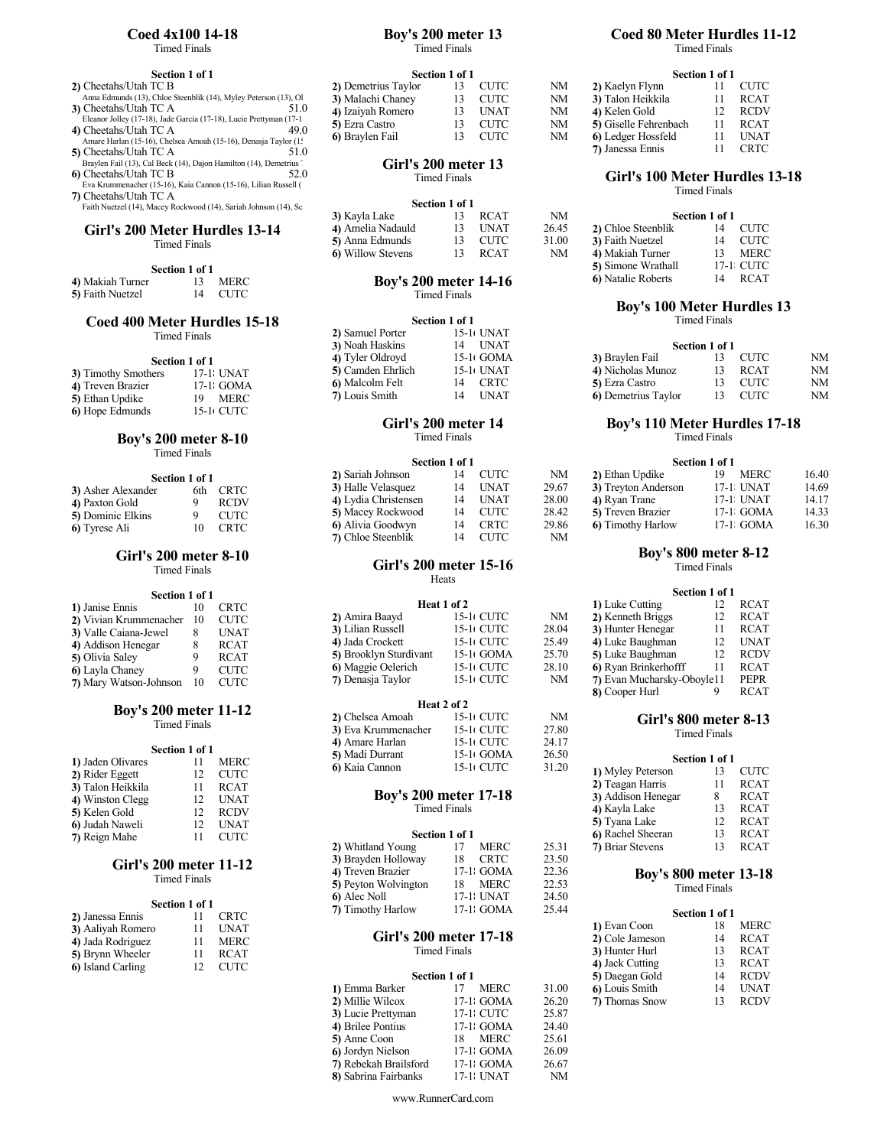Timed Finals

| 2) Cheetahs/Utah TC B                                            | 2) Demetrius Taylor | 13 CUTC |
|------------------------------------------------------------------|---------------------|---------|
| Anna Edmunds (13), Chloe Steenblik (14), Myley Peterson (13), Ol | 3) Malachi Chaney   | 13 CUTC |
| 3) Cheetahs/Utah TC A<br>51.0                                    | 4) Izaivah Romero   | UNAT    |

| 4) Cheetahs/Utah TC A                                           | 49.0 | 5) Ezra Castro  | 13 - CUTC |  |
|-----------------------------------------------------------------|------|-----------------|-----------|--|
| Amare Harlan (15-16), Chelsea Amoah (15-16), Denasja Taylor (1: |      | 6) Braylen Fail | 13 CUTC   |  |
| 5) Cheetahs/Htah TC A                                           |      |                 |           |  |

- 5) Cheetahs/Utah TC A 51.0<br>Braylen Fail (13), Cal Beck (14), Dajon Hamilton (14), Demetrius Theory of Cir**l's 200 meter 13**<br>6) Cheetahs/Utah TC B 52.0 Timed Finals
- 
- Eva Krummenacher (15-16), Kaia Cannon (15-16), Lilian Russell (15-16), Maggie Oelerich (15-16), Lilian Russell (15-16), Cheetahs/Utah TC A Faith Nuetzel (14), Macey Rockwood (14), Sariah Johnson (14), Sc

## Girl's 200 Meter Hurdles  $13-14$   $\qquad \qquad 4)$ <br>Timed Finals  $\qquad \qquad 5)$ Timed Finals  $\begin{bmatrix} 5 \end{bmatrix}$

## Section 1 of 1<br>4) Makiah Turner 13 4) Makiah Turner 13 MERC<br>5) Faith Nuetzel 14 CUTC

# Coed 400 Meter Hurdles 15-18

Timed Finals

#### Section 1 of 1

| 3) Timothy Smothers | 17-1 UNAT  | 5) Camden Ehrlich | 15-1 UNAT |  |
|---------------------|------------|-------------------|-----------|--|
| 4) Treven Brazier   | 17-1 GOMA  | 6) Malcolm Felt   | 14 CRTC   |  |
| 5) Ethan Updike     | 19 MERC    | 7) Louis Smith    | 14 UNAT   |  |
| 6) Hope Edmunds     | 15-1+ CUTC |                   |           |  |

## Boy's 200 meter 8-10

Timed Finals

### Section 1 of 1

| 3) Asher Alexander | 6th | <b>CRTC</b> |
|--------------------|-----|-------------|
| 4) Paxton Gold     | 9   | <b>RCDV</b> |
| 5) Dominic Elkins  | Q   | CUTC        |
| 6) Tyrese Ali      | 10  | <b>CRTC</b> |

### Girl's 200 meter 8-10 Timed Finals

| Section 1 of 1         |      |             |                        |
|------------------------|------|-------------|------------------------|
| 1) Janise Ennis        |      | <b>CRTC</b> | Heat 1                 |
| 2) Vivian Krummenacher | - 10 | <b>CUTC</b> | 2) Amira Baayd         |
| 3) Valle Caiana-Jewel  |      | <b>UNAT</b> | 3) Lilian Russell      |
| 4) Addison Henegar     |      | <b>RCAT</b> | 4) Jada Crockett       |
| 5) Olivia Saley        |      | <b>RCAT</b> | 5) Brooklyn Sturdivant |
| 6) Layla Chaney        |      | <b>CUTC</b> | 6) Maggie Oelerich     |
| 7) Mary Watson-Johnson |      | CUTC.       | 7) Denasja Taylor      |

#### Boy's 200 meter 11-12 Timed Finals

|                   | Section 1 of 1 |             | 4) Amare Harlan<br>5) Madi Durrant | 15-10 CUTC<br>$15-1$ GOMA    | 24.17<br>26.50 |                                                                                                                                                                                                                                  |                |  |
|-------------------|----------------|-------------|------------------------------------|------------------------------|----------------|----------------------------------------------------------------------------------------------------------------------------------------------------------------------------------------------------------------------------------|----------------|--|
| 1) Jaden Olivares |                | MERC        |                                    |                              | 31.20          |                                                                                                                                                                                                                                  | Section 1 of 1 |  |
| 2) Rider Eggett   |                | <b>CUTC</b> | 6) Kaia Cannon                     | 15-10 CUTC                   |                | 1) Myley Peterson                                                                                                                                                                                                                | 13             |  |
| 3) Talon Heikkila |                | <b>RCAT</b> |                                    |                              |                | 2) Teagan Harris                                                                                                                                                                                                                 | 11             |  |
| 4) Winston Clegg  | 12             | UNAT        |                                    | <b>Boy's 200 meter 17-18</b> |                | 3) Addison Henegar                                                                                                                                                                                                               | 8              |  |
| 5) Kelen Gold     | 12             | <b>RCDV</b> |                                    | Timed Finals                 |                | 4) Kayla Lake                                                                                                                                                                                                                    | 13             |  |
| 6 Judah Naweli    | 12             | UNAT        |                                    |                              |                | 5) Tyana Lake                                                                                                                                                                                                                    | 12             |  |
| 7) Reign Mahe     |                | CUTC        |                                    | Section 1 of 1               |                | 6) Rachel Sheeran                                                                                                                                                                                                                | 13             |  |
|                   |                |             | $A \cup T \cup T \cup T$           | $\mathbf{r}$<br>$\sim$       | $2 - 21$       | $\blacksquare$ $\blacksquare$ $\blacksquare$ $\blacksquare$ $\blacksquare$ $\blacksquare$ $\blacksquare$ $\blacksquare$ $\blacksquare$ $\blacksquare$ $\blacksquare$ $\blacksquare$ $\blacksquare$ $\blacksquare$ $\blacksquare$ | $\sim$         |  |

### Girl's 200 meter 11-12 Timed Finals

#### Section 1 of 1<br>11 CRTC **2**) Janessa Ennis 11 CRTC 7) Timothy Harlow 17-1; GOMA 25.44<br> **3**) Aaliyah Romero 11 UNAT 3) Aaliyah Romero 11 UNAT<br>
4) Jada Rodriguez 11 MERC<br>
5) Brynn Wheeler 11 RCAT 4) Jada Rodriguez 11 MERC **GIFT S 200 Ineter 17-16** 5) Brynn Wheeler 11 RCAT 11 I H and Finals

| <b>3)</b> Dryth wheeler | KUA I  |                |
|-------------------------|--------|----------------|
| 6) Island Carling       | - CUTC |                |
|                         |        | Section 1 of 1 |

### Coed 4x100 14-18 Boy's 200 meter 13 Timed Finals

|  | * ******* * ****** |  |  |
|--|--------------------|--|--|
|  |                    |  |  |
|  |                    |  |  |
|  |                    |  |  |
|  |                    |  |  |
|  |                    |  |  |
|  |                    |  |  |

| Section 1 of 1                                                                                 |                     | Section 1 of 1 |             |    |                       | Section 1 of 1 |             |
|------------------------------------------------------------------------------------------------|---------------------|----------------|-------------|----|-----------------------|----------------|-------------|
| 2) Cheetahs/Utah TC B                                                                          | 2) Demetrius Taylor |                | <b>CUTC</b> | NΜ | 2) Kaelyn Flynn       |                | <b>CUTC</b> |
| Anna Edmunds (13), Chloe Steenblik (14), Myley Peterson (13), Ol                               | 3) Malachi Chanev   |                | CUTC        | NM | 3) Talon Heikkila     |                | <b>RCAT</b> |
| 3) Cheetahs/Utah TC A<br>51.0                                                                  | 4) Izaiyah Romero   |                | UNAT        | NM | 4) Kelen Gold         |                | <b>RCDV</b> |
| Eleanor Jolley (17-18), Jade Garcia (17-18), Lucie Prettyman (17-1                             | 5) Ezra Castro      |                | <b>CUTC</b> | NM | 5) Giselle Fehrenbach |                | <b>RCAT</b> |
| 49.0<br>4) Cheetahs/Utah TC A<br>Amare Harlan (15-16) Chelsea Amoah (15-16) Denasia Taylor (1' | 6) Braylen Fail     |                | <b>CUTC</b> | NM | 6) Ledger Hossfeld    |                | <b>UNAT</b> |

## Girl's 200 meter 13 Timed Finals

| 13. | NΜ                                                      |                    |                  |                |
|-----|---------------------------------------------------------|--------------------|------------------|----------------|
|     | 26.45                                                   | 2) Chloe Steenblik |                  | 14 CUTC        |
|     | 31.00                                                   |                    |                  | 14 CUTC        |
|     | NM                                                      | 4) Makiah Turner   |                  | MERC           |
|     | Section 1 of 1<br>RCAT<br>13 UNAT<br>13 CUTC<br>13 RCAT |                    | 3) Faith Nuetzel | Section 1 of 1 |

#### 4) Makiah Turner 13 MERC **Boy's 200 meter 14-16** 6) Natalie Roberts 14 1 Timed Finals

|                   | Section 1 of 1 |             |                     | <b>Timed Finals</b> |      |    |  |
|-------------------|----------------|-------------|---------------------|---------------------|------|----|--|
| 2) Samuel Porter  |                | 15-10 UNAT  |                     |                     |      |    |  |
| 3) Noah Haskins   | 14             | UNAT        |                     | Section 1 of 1      |      |    |  |
| 4) Tyler Oldroyd  |                | $15-1$ GOMA | 3) Braylen Fail     | 13                  | CUTC | NM |  |
| 5) Camden Ehrlich |                | 15-1 UNAT   | 4) Nicholas Munoz   | 13                  | RCAT | NM |  |
| 6) Malcolm Felt   | 14             | CRTC        | 5) Ezra Castro      | 13                  | CUTC | NM |  |
| 7) Louis Smith    | 14             | UNAT        | 6) Demetrius Taylor | 13                  | CUTC | NM |  |
|                   |                |             |                     |                     |      |    |  |

# Timed Finals

#### Section 1 of 1

|                    | Section 1 of 1 |             | 2) Sariah Johnson    | 14 | CUTC        | NM    | 2) Ethan Updike         | 19<br>MERC | 16.40 |
|--------------------|----------------|-------------|----------------------|----|-------------|-------|-------------------------|------------|-------|
| 3) Asher Alexander | 6th            | CRTC        | 3) Halle Velasquez   | 14 | UNAT        | 29.67 | 3) Treyton Anderson     | 17-1 UNAT  | 14.69 |
| 4) Paxton Gold     |                | <b>RCDV</b> | 4) Lydia Christensen | 14 | UNAT        | 28.00 | 4) Ryan Trane           | 17-1 UNAT  | 14.17 |
| 5) Dominic Elkins  |                | <b>CUTC</b> | 5) Macey Rockwood    | 14 | <b>CUTC</b> | 28.42 | 5) Treven Brazier       | 17-1 GOMA  | 14.33 |
| 6) Tyrese Ali      | 10             | <b>CRTC</b> | 6 Alivia Goodwyn     |    | <b>CRTC</b> | 29.86 | <b>6</b> Timothy Harlow | 17-1 GOMA  | 16.30 |
|                    |                |             | 7) Chloe Steenblik   |    | <b>CUTC</b> | NM    |                         |            |       |
|                    |                |             |                      |    |             |       |                         |            |       |

### Girl's 200 meter 15-16 Heats are a set of the set of the set of the set of the set of the set of the set of the set of the set of the set of the set of the set of the set of the set of the set of the set of the set of the set of the set of the s

| 1) Janise Ennis           | 10 | <b>CRTC</b> | Heat 1 of 2            |             |       | 1) Luke Cutting            | 12 | - RCAT      |
|---------------------------|----|-------------|------------------------|-------------|-------|----------------------------|----|-------------|
| 2) Vivian Krummenacher 10 |    | <b>CUTC</b> | 2) Amira Baayd         | 15-1 CUTC   | NM    | 2) Kenneth Briggs          | 12 | <b>RCAT</b> |
| 3) Valle Caiana-Jewel     |    | <b>UNAT</b> | 3) Lilian Russell      | 15-10 CUTC  | 28.04 | 3) Hunter Henegar          |    | <b>RCAT</b> |
| 4) Addison Henegar        |    | <b>RCAT</b> | 4) Jada Crockett       | 15-1 CUTC   | 25.49 | 4) Luke Baughman           | 12 | <b>UNAT</b> |
| 5) Olivia Saley           |    | <b>RCAT</b> | 5) Brooklyn Sturdivant | $15-1$ GOMA | 25.70 | 5) Luke Baughman           | 12 | <b>RCDV</b> |
| 6) Layla Chaney           |    | <b>CUTC</b> | 6) Maggie Oelerich     | 15-1 CUTC   | 28.10 | 6) Ryan Brinkerhofff       |    | <b>RCAT</b> |
| 7) Mary Watson-Johnson 10 |    | CUTC        | 7) Denasja Taylor      | 15-10 CUTC  | NM    | 7) Evan Mucharsky-Oboyle11 |    | PEPR        |
|                           |    |             |                        |             |       |                            |    | ____        |

|                                                 | <b>Boy's 200 meter 11-12</b> |                                 |                     | Heat 2 of 2 |       |                           |  |
|-------------------------------------------------|------------------------------|---------------------------------|---------------------|-------------|-------|---------------------------|--|
|                                                 |                              |                                 | 2) Chelsea Amoah    | 15-11 CUTC  | NM    | Girl's 800 meter 8-13     |  |
|                                                 | <b>Timed Finals</b>          |                                 | 3) Eva Krummenacher | 15-10 CUTC  | 27.80 | Timed Finals              |  |
|                                                 |                              |                                 | 4) Amare Harlan     | 15-1 CUTC   | 24.17 |                           |  |
|                                                 | Section 1 of 1               |                                 | 5) Madi Durrant     | 15-1 GOMA   | 26.50 | Section 1 of 1            |  |
| 1) Jaden Olivares<br>$\bullet$ Diday Dans $\mu$ |                              | <b>MERC</b><br>$\cap$ IT $\cap$ | 6) Kaia Cannon      | 15-10 CUTC  | 31.20 | 1) Mylev Peterson<br>CUTC |  |
|                                                 |                              |                                 |                     |             |       |                           |  |

# Timed Finals

### Section 1 of 1

| 2) Whitland Young    | MERC              | 25.31 | 7) Briar Stevens             |                     | <b>RCAT</b> |  |
|----------------------|-------------------|-------|------------------------------|---------------------|-------------|--|
| 3) Brayden Holloway  | <b>CRTC</b><br>18 | 23.50 |                              |                     |             |  |
| 4) Treven Brazier    | 17-1: GOMA        | 22.36 | <b>Boy's 800 meter 13-18</b> |                     |             |  |
| 5) Peyton Wolvington | MERC<br>18        | 22.53 |                              | <b>Timed Finals</b> |             |  |
| 6) Alec Noll         | 17-1: UNAT        | 24.50 |                              |                     |             |  |
| 7) Timothy Harlow    | 17-1: GOMA        | 25.44 |                              | Section 1 of 1      |             |  |

#### Girl's 200 meter 17-18 Timed Finals

| Section 1 of 1 |       | 5) Daegan Gold | 14 | <b>RCDV</b> |  |
|----------------|-------|----------------|----|-------------|--|
| MERC           | 31.00 | 6) Louis Smith | 14 | UNAT        |  |
| 17-1: GOMA     | 26.20 | 7) Thomas Snow | 13 | <b>RCDV</b> |  |
| 17-1: CUTC     | 25.87 |                |    |             |  |
| 17-1: GOMA     | 24.40 |                |    |             |  |
| MERC<br>18     | 25.61 |                |    |             |  |
| 17-1: GOMA     | 26.09 |                |    |             |  |
| 17-1: GOMA     | 26.67 |                |    |             |  |
| 17-1: UNAT     | NΜ    |                |    |             |  |
|                |       |                |    |             |  |

www.RunnerCard.com

## Boy's 200 meter 13 Coed 80 Meter Hurdles 11-12

Timed Finals

| Section 1 of 1 |              |             |    |                       | Section 1 of 1 |             |  |  |  |
|----------------|--------------|-------------|----|-----------------------|----------------|-------------|--|--|--|
| or             | $^{\prime}3$ | <b>CUTC</b> | NΜ | 2) Kaelyn Flynn       |                | <b>CUTC</b> |  |  |  |
|                | 13.          | <b>CUTC</b> | NM | 3) Talon Heikkila     |                | <b>RCAT</b> |  |  |  |
|                | 13           | <b>UNAT</b> | NΜ | 4) Kelen Gold         |                | <b>RCDV</b> |  |  |  |
|                | 13           | <b>CUTC</b> | NM | 5) Giselle Fehrenbach |                | <b>RCAT</b> |  |  |  |
|                | 13           | CUTC        | NM | 6) Ledger Hossfeld    |                | <b>UNAT</b> |  |  |  |
|                |              |             |    | 7) Janessa Ennis      |                | CRTC        |  |  |  |
|                |              |             |    |                       |                |             |  |  |  |

## Girl's 100 Meter Hurdles 13-18

Timed Finals

|                            | Section 1 of 1 |             |
|----------------------------|----------------|-------------|
| 2) Chloe Steenblik         | 14             | <b>CUTC</b> |
| 3) Faith Nuetzel           | 14             | CUTC.       |
| 4) Makiah Turner           | 13             | <b>MERC</b> |
| 5) Simone Wrathall         |                | 17-1: CUTC  |
| <b>6</b> ) Natalie Roberts | 14             | <b>RCAT</b> |

## Boy's 100 Meter Hurdles 13

| 3) Noah Haskins   | <b>UNAT</b><br>14 |                     | Section 1 of 1 |    |
|-------------------|-------------------|---------------------|----------------|----|
| 4) Tyler Oldroyd  | $5-1$ GOMA        | 3) Braylen Fail     | CUTC           | NΜ |
| 5) Camden Ehrlich | UNAT              | 4) Nicholas Munoz   | RCAT           | NM |
| 6 Malcolm Felt    | CRTC              | 5) Ezra Castro      | CUTC           | NM |
| 7) Louis Smith    | <b>UNAT</b><br>14 | 6) Demetrius Taylor | CUTC           | NM |

### Girl's 200 meter 14 Boy's 110 Meter Hurdles 17-18

Timed Finals

#### Section 1 of 1

| 2) Sariah Johnson    |    | <b>CUTC</b>          | NM           | 2) Ethan Updike           | <b>MERC</b> | 16.40 |  |
|----------------------|----|----------------------|--------------|---------------------------|-------------|-------|--|
| 3) Halle Velasquez   |    | UNAT                 | 29.67        | 3) Treyton Anderson       | 17-1 UNAT   | 14.69 |  |
| 4) Lydia Christensen | 14 | UNAT                 | 28.00        | 4) Ryan Trane             | 17-1 UNAT   | 14.17 |  |
| 5) Macey Rockwood    |    | <b>CUTC</b>          | 28.42        | 5) Treven Brazier         | 17-1 GOMA   | 14.33 |  |
| 6) Alivia Goodwyn    |    | CRTC                 | 29.86        | <b>6</b> ) Timothy Harlow | 17-1 GOMA   | 16.30 |  |
| - 011 0 111          |    | $\sim$ $\sim$ $\sim$ | $\mathbf{v}$ |                           |             |       |  |

## Boy's 800 meter 8-12

Timed Finals

| Heat 1 of 2<br><b>RCAT</b><br>1) Luke Cutting<br>15-10 CUTC<br>NM<br>2) Kenneth Briggs<br>RCAT<br>28.04<br>15-10 CUTC<br>RCAT<br>3) Hunter Henegar<br>25.49<br><b>UNAT</b><br>15-10 CUTC<br>4) Luke Baughman<br>25.70<br>$15-1$ GOMA<br>5) Luke Baughman<br><b>RCDV</b><br>28.10<br>6 Ryan Brinkerhofff<br>15-10 CUTC<br>RCAT<br>NM<br>7) Evan Mucharsky-Oboyle11<br>PEPR<br>15-10 CUTC<br>8) Cooper Hurl<br><b>RCAT</b> |     |  |  |  |
|--------------------------------------------------------------------------------------------------------------------------------------------------------------------------------------------------------------------------------------------------------------------------------------------------------------------------------------------------------------------------------------------------------------------------|-----|--|--|--|
|                                                                                                                                                                                                                                                                                                                                                                                                                          |     |  |  |  |
|                                                                                                                                                                                                                                                                                                                                                                                                                          |     |  |  |  |
|                                                                                                                                                                                                                                                                                                                                                                                                                          |     |  |  |  |
|                                                                                                                                                                                                                                                                                                                                                                                                                          |     |  |  |  |
|                                                                                                                                                                                                                                                                                                                                                                                                                          | ant |  |  |  |
|                                                                                                                                                                                                                                                                                                                                                                                                                          |     |  |  |  |
|                                                                                                                                                                                                                                                                                                                                                                                                                          |     |  |  |  |
|                                                                                                                                                                                                                                                                                                                                                                                                                          |     |  |  |  |

|                    | Section 1 of 1 |             |
|--------------------|----------------|-------------|
| 1) Myley Peterson  | 13             | <b>CUTC</b> |
| 2) Teagan Harris   | 11             | <b>RCAT</b> |
| 3) Addison Henegar | 8              | <b>RCAT</b> |
| 4) Kayla Lake      | 13             | <b>RCAT</b> |
| 5) Tyana Lake      | 12             | <b>RCAT</b> |
| 6) Rachel Sheeran  | 13             | <b>RCAT</b> |
| 7) Briar Stevens   |                | <b>RCAT</b> |

| 1) Evan Coon    | 18 | MERC        |  |
|-----------------|----|-------------|--|
| 2) Cole Jameson | 14 | RCAT        |  |
| 3) Hunter Hurl  |    | RCAT        |  |
| 4) Jack Cutting |    | RCAT        |  |
| 5) Daegan Gold  |    | <b>RCDV</b> |  |
| 6) Louis Smith  | 14 | UNAT        |  |
| 7) Thomas Snow  |    | <b>RCDV</b> |  |